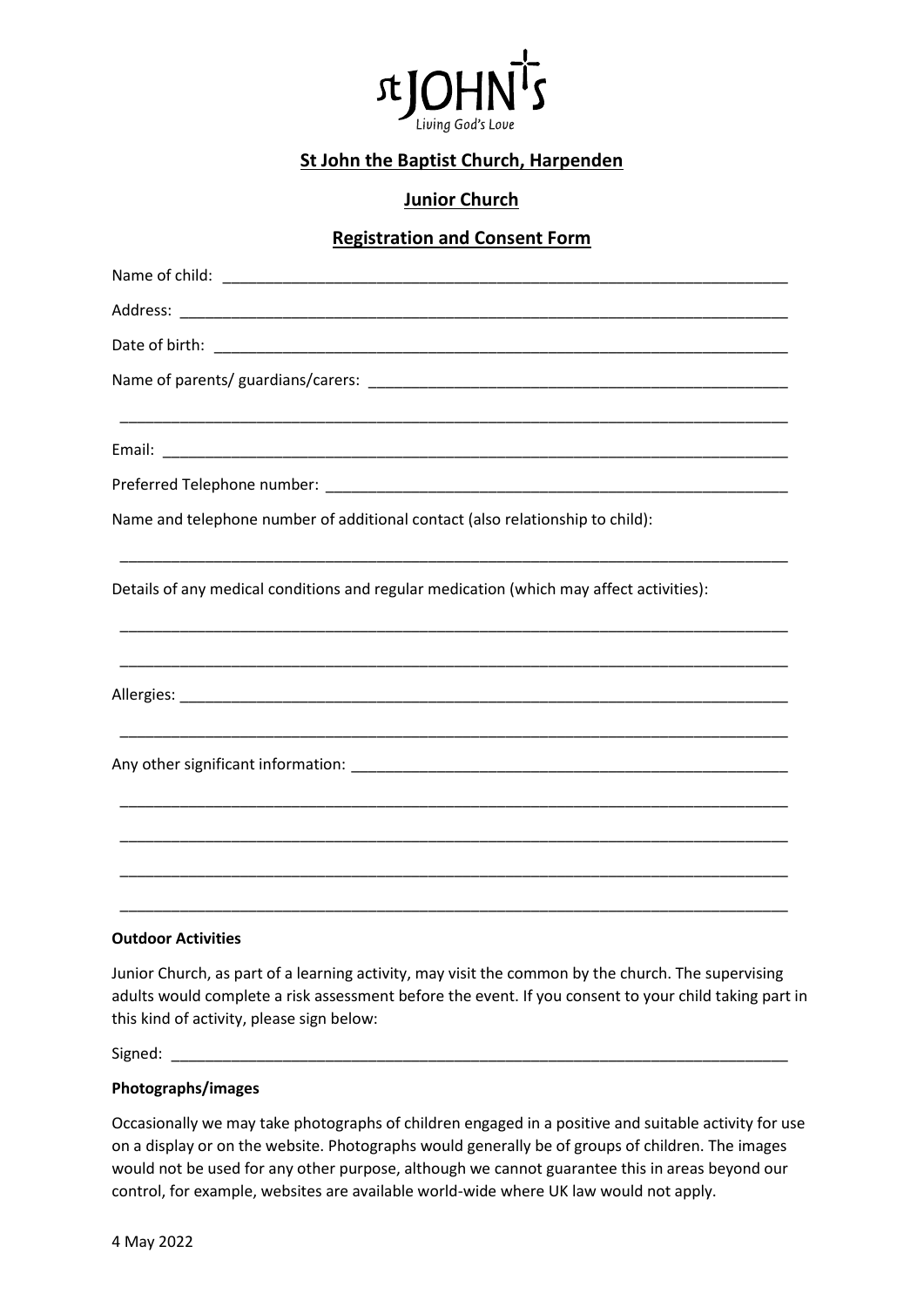

# **St John the Baptist Church, Harpenden**

## **Junior Church**

### **Registration and Consent Form**

| Name and telephone number of additional contact (also relationship to child):           |
|-----------------------------------------------------------------------------------------|
| Details of any medical conditions and regular medication (which may affect activities): |
|                                                                                         |
|                                                                                         |
|                                                                                         |
|                                                                                         |
|                                                                                         |
|                                                                                         |

#### **Outdoor Activities**

Junior Church, as part of a learning activity, may visit the common by the church. The supervising adults would complete a risk assessment before the event. If you consent to your child taking part in this kind of activity, please sign below:

 $Signed:$ 

#### **Photographs/images**

Occasionally we may take photographs of children engaged in a positive and suitable activity for use on a display or on the website. Photographs would generally be of groups of children. The images would not be used for any other purpose, although we cannot guarantee this in areas beyond our control, for example, websites are available world-wide where UK law would not apply.